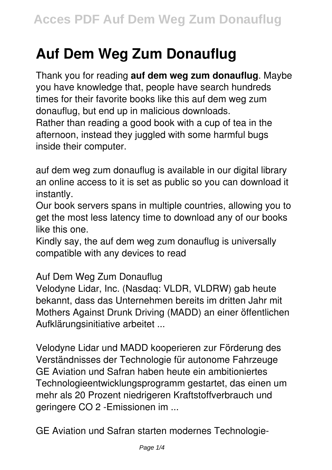## **Auf Dem Weg Zum Donauflug**

Thank you for reading **auf dem weg zum donauflug**. Maybe you have knowledge that, people have search hundreds times for their favorite books like this auf dem weg zum donauflug, but end up in malicious downloads. Rather than reading a good book with a cup of tea in the afternoon, instead they juggled with some harmful bugs inside their computer.

auf dem weg zum donauflug is available in our digital library an online access to it is set as public so you can download it instantly.

Our book servers spans in multiple countries, allowing you to get the most less latency time to download any of our books like this one.

Kindly say, the auf dem weg zum donauflug is universally compatible with any devices to read

Auf Dem Weg Zum Donauflug

Velodyne Lidar, Inc. (Nasdaq: VLDR, VLDRW) gab heute bekannt, dass das Unternehmen bereits im dritten Jahr mit Mothers Against Drunk Driving (MADD) an einer öffentlichen Aufklärungsinitiative arbeitet ...

Velodyne Lidar und MADD kooperieren zur Förderung des Verständnisses der Technologie für autonome Fahrzeuge GE Aviation und Safran haben heute ein ambitioniertes Technologieentwicklungsprogramm gestartet, das einen um mehr als 20 Prozent niedrigeren Kraftstoffverbrauch und geringere CO 2 -Emissionen im ...

GE Aviation und Safran starten modernes Technologie-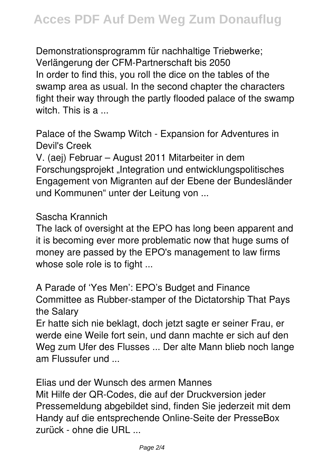Demonstrationsprogramm für nachhaltige Triebwerke; Verlängerung der CFM-Partnerschaft bis 2050 In order to find this, you roll the dice on the tables of the swamp area as usual. In the second chapter the characters fight their way through the partly flooded palace of the swamp witch. This is a ...

Palace of the Swamp Witch - Expansion for Adventures in Devil's Creek

V. (aej) Februar – August 2011 Mitarbeiter in dem Forschungsprojekt "Integration und entwicklungspolitisches Engagement von Migranten auf der Ebene der Bundesländer und Kommunen" unter der Leitung von ...

Sascha Krannich

The lack of oversight at the EPO has long been apparent and it is becoming ever more problematic now that huge sums of money are passed by the EPO's management to law firms whose sole role is to fight ...

A Parade of 'Yes Men': EPO's Budget and Finance Committee as Rubber-stamper of the Dictatorship That Pays the Salary

Er hatte sich nie beklagt, doch jetzt sagte er seiner Frau, er werde eine Weile fort sein, und dann machte er sich auf den Weg zum Ufer des Flusses ... Der alte Mann blieb noch lange am Flussufer und ...

Elias und der Wunsch des armen Mannes Mit Hilfe der QR-Codes, die auf der Druckversion jeder Pressemeldung abgebildet sind, finden Sie jederzeit mit dem Handy auf die entsprechende Online-Seite der PresseBox zurück - ohne die URL ...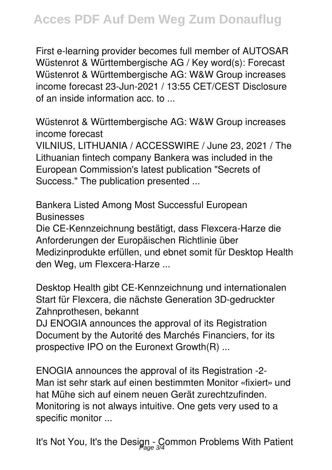First e-learning provider becomes full member of AUTOSAR Wüstenrot & Württembergische AG / Key word(s): Forecast Wüstenrot & Württembergische AG: W&W Group increases income forecast 23-Jun-2021 / 13:55 CET/CEST Disclosure of an inside information acc. to ...

Wüstenrot & Württembergische AG: W&W Group increases income forecast

VILNIUS, LITHUANIA / ACCESSWIRE / June 23, 2021 / The Lithuanian fintech company Bankera was included in the European Commission's latest publication "Secrets of Success." The publication presented ...

Bankera Listed Among Most Successful European **Businesses** 

Die CE-Kennzeichnung bestätigt, dass Flexcera-Harze die Anforderungen der Europäischen Richtlinie über Medizinprodukte erfüllen, und ebnet somit für Desktop Health den Weg, um Flexcera-Harze ...

Desktop Health gibt CE-Kennzeichnung und internationalen Start für Flexcera, die nächste Generation 3D-gedruckter Zahnprothesen, bekannt

DJ ENOGIA announces the approval of its Registration Document by the Autorité des Marchés Financiers, for its prospective IPO on the Euronext Growth(R) ...

ENOGIA announces the approval of its Registration -2- Man ist sehr stark auf einen bestimmten Monitor «fixiert» und hat Mühe sich auf einem neuen Gerät zurechtzufinden. Monitoring is not always intuitive. One gets very used to a specific monitor ...

It's Not You, It's the Design - Common Problems With Patient